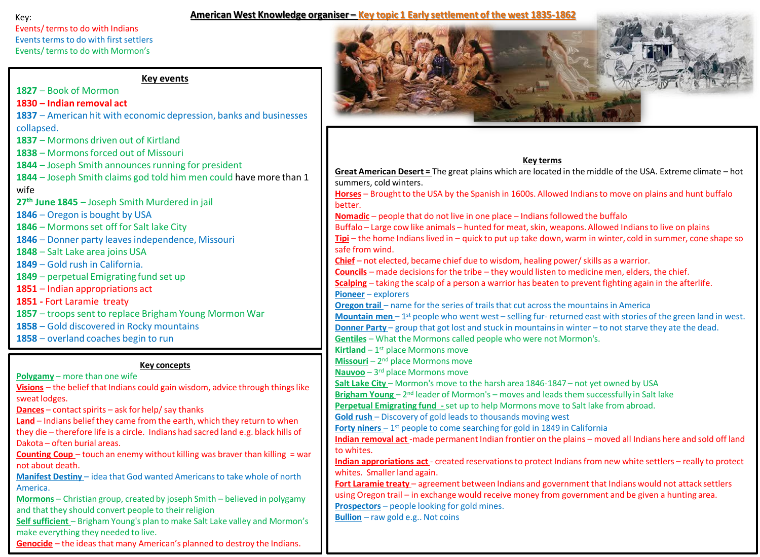#### Key:

## **American West Knowledge organiser – Key topic 1 Early settlement of the west 1835-1862**

Events/ terms to do with Indians Events terms to do with first settlers Events/ terms to do with Mormon's

**Key events**

**1827** – Book of Mormon

# **1830 – Indian removal act**

**1837** – American hit with economic depression, banks and businesses collapsed.

**1837** – Mormons driven out of Kirtland

**1838** – Mormons forced out of Missouri

**1844** – Joseph Smith announces running for president

**1844** – Joseph Smith claims god told him men could have more than 1 wife

**27th June 1845** – Joseph Smith Murdered in jail

**1846** – Oregon is bought by USA

**1846** – Mormons set off for Salt lake City

**1846** – Donner party leaves independence, Missouri

**1848** – Salt Lake area joins USA

**1849** – Gold rush in California.

**1849** – perpetual Emigrating fund set up

**1851** – Indian appropriations act

**1851 -** Fort Laramie treaty

**1857** – troops sent to replace Brigham Young Mormon War

**1858** – Gold discovered in Rocky mountains

**1858** – overland coaches begin to run

## **Key concepts**

**Polygamy** – more than one wife

**Visions** – the belief that Indians could gain wisdom, advice through things like sweat lodges.

**Dances** – contact spirits – ask for help/ say thanks

**Land** – Indians belief they came from the earth, which they return to when they die – therefore life is a circle. Indians had sacred land e.g. black hills of Dakota – often burial areas.

**Counting Coup** – touch an enemy without killing was braver than killing = war not about death.

**Manifest Destiny** – idea that God wanted Americans to take whole of north America.

**Mormons** – Christian group, created by joseph Smith – believed in polygamy and that they should convert people to their religion

Self sufficient - Brigham Young's plan to make Salt Lake valley and Mormon's make everything they needed to live.

**Genocide** – the ideas that many American's planned to destroy the Indians.



**Key terms**

**Great American Desert =** The great plains which are located in the middle of the USA. Extreme climate – hot summers, cold winters. **Horses** – Brought to the USA by the Spanish in 1600s. Allowed Indians to move on plains and hunt buffalo better. **Nomadic** – people that do not live in one place – Indians followed the buffalo Buffalo – Large cow like animals – hunted for meat, skin, weapons. Allowed Indians to live on plains **Tipi** – the home Indians lived in – quick to put up take down, warm in winter, cold in summer, cone shape so safe from wind. **Chief** – not elected, became chief due to wisdom, healing power/ skills as a warrior. **Councils** – made decisions for the tribe – they would listen to medicine men, elders, the chief. **Scalping** – taking the scalp of a person a warrior has beaten to prevent fighting again in the afterlife. **Pioneer** – explorers **Oregon trail** – name for the series of trails that cut across the mountains in America **Mountain men** – 1<sup>st</sup> people who went west – selling fur- returned east with stories of the green land in west. **Donner Party** – group that got lost and stuck in mountains in winter – to not starve they ate the dead. **Gentiles** – What the Mormons called people who were not Mormon's. **Kirtland** - 1<sup>st</sup> place Mormons move Missouri - 2<sup>nd</sup> place Mormons move **Nauvoo** – 3 rd place Mormons move **Salt Lake City** – Mormon's move to the harsh area 1846-1847 – not yet owned by USA Brigham Young - 2<sup>nd</sup> leader of Mormon's - moves and leads them successfully in Salt lake **Perpetual Emigrating fund -**set up to help Mormons move to Salt lake from abroad. **Gold rush** – Discovery of gold leads to thousands moving west **Forty niners** - 1<sup>st</sup> people to come searching for gold in 1849 in California **Indian removal act** -made permanent Indian frontier on the plains – moved all Indians here and sold off land to whites. **Indian approriations act** - created reservations to protect Indians from new white settlers – really to protect whites. Smaller land again. **Fort Laramie treaty** – agreement between Indians and government that Indians would not attack settlers using Oregon trail – in exchange would receive money from government and be given a hunting area. **Prospectors** – people looking for gold mines. **Bullion** – raw gold e.g.. Not coins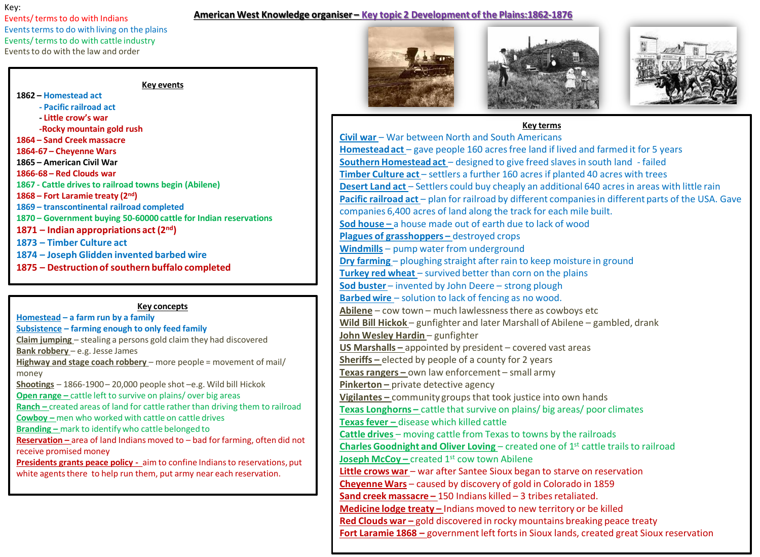#### Key:

Events/ terms to do with Indians Events terms to do with living on the plains Events/ terms to do with cattle industry Events to do with the law and order

#### **American West Knowledge organiser – Key topic 2 Development of the Plains:1862-1876**

#### **Key events**

**– Homestead act - Pacific railroad act - Little crow's war -Rocky mountain gold rush – Sand Creek massacre 1864-67 – Cheyenne Wars – American Civil War 1866-68 – Red Clouds war 1867 - Cattle drives to railroad towns begin (Abilene) – Fort Laramie treaty (2nd) – transcontinental railroad completed – Government buying 50-60000 cattle for Indian reservations – Indian appropriations act (2nd) – Timber Culture act – Joseph Glidden invented barbed wire – Destruction of southern buffalo completed**

## **Key concepts**

**Homestead – a farm run by a family Subsistence – farming enough to only feed family Claim jumping** – stealing a persons gold claim they had discovered **Bank robbery** – e.g. Jesse James **Highway and stage coach robbery** – more people = movement of mail/ money **Shootings** – 1866-1900 – 20,000 people shot –e.g. Wild bill Hickok **Open range** – cattle left to survive on plains/ over big areas **Ranch –** created areas of land for cattle rather than driving them to railroad **Cowboy –** men who worked with cattle on cattle drives **Branding –** mark to identify who cattle belonged to **Reservation –** area of land Indians moved to – bad for farming, often did not receive promised money **Presidents grants peace policy -** aim to confine Indians to reservations, put white agents there to help run them, put army near each reservation.







## **Key terms**

**Civil war** – War between North and South Americans **Homestead act** – gave people 160 acres free land if lived and farmed it for 5 years **Southern Homestead act** – designed to give freed slaves in south land - failed **Timber Culture act** – settlers a further 160 acres if planted 40 acres with trees **Desert Land act** – Settlers could buy cheaply an additional 640 acres in areas with little rain **Pacific railroad act** – plan for railroad by different companies in different parts of the USA. Gave companies 6,400 acres of land along the track for each mile built. **Sod house –** a house made out of earth due to lack of wood **Plagues of grasshoppers –** destroyed crops **Windmills** – pump water from underground **Dry farming** – ploughing straight after rain to keep moisture in ground **Turkey red wheat** – survived better than corn on the plains **Sod buster** – invented by John Deere – strong plough **Barbed wire** – solution to lack of fencing as no wood. **Abilene** – cow town – much lawlessness there as cowboys etc **Wild Bill Hickok** – gunfighter and later Marshall of Abilene – gambled, drank **John Wesley Hardin** - gunfighter **US Marshalls –** appointed by president – covered vast areas **Sheriffs –** elected by people of a county for 2 years **Texas rangers –** own law enforcement – small army **Pinkerton –** private detective agency **Vigilantes –** community groups that took justice into own hands **Texas Longhorns –** cattle that survive on plains/ big areas/ poor climates **Texas fever –** disease which killed cattle **Cattle drives** – moving cattle from Texas to towns by the railroads **Charles Goodnight and Oliver Loving – created one of 1<sup>st</sup> cattle trails to railroad Joseph McCoy –** created 1<sup>st</sup> cow town Abilene **Little crows war** – war after Santee Sioux began to starve on reservation **Cheyenne Wars** – caused by discovery of gold in Colorado in 1859 **Sand creek massacre –** 150 Indians killed – 3 tribes retaliated. **Medicine lodge treaty –** Indians moved to new territory or be killed **Red Clouds war – gold discovered in rocky mountains breaking peace treaty Fort Laramie 1868 –** government left forts in Sioux lands, created great Sioux reservation